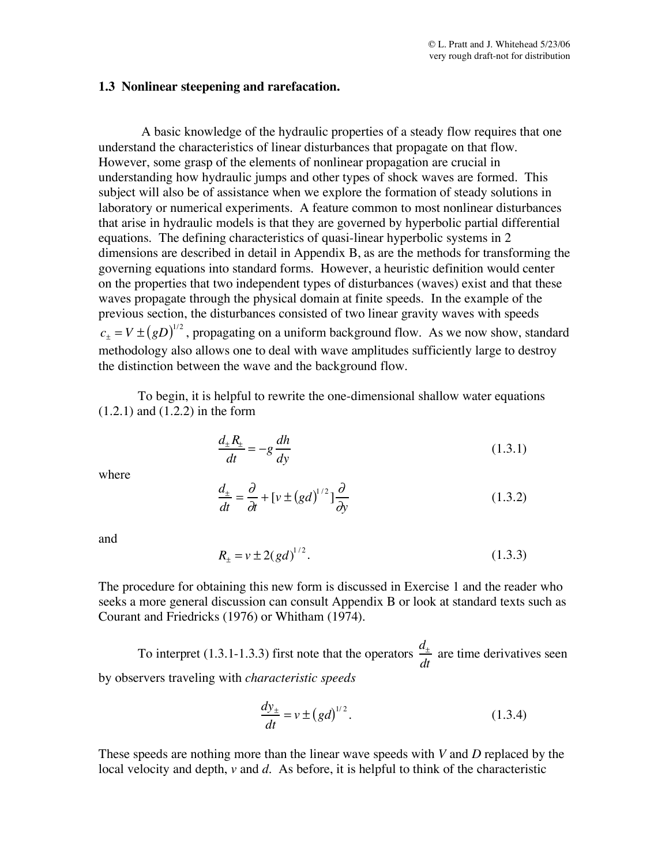## **1.3 Nonlinear steepening and rarefacation.**

A basic knowledge of the hydraulic properties of a steady flow requires that one understand the characteristics of linear disturbances that propagate on that flow. However, some grasp of the elements of nonlinear propagation are crucial in understanding how hydraulic jumps and other types of shock waves are formed. This subject will also be of assistance when we explore the formation of steady solutions in laboratory or numerical experiments. A feature common to most nonlinear disturbances that arise in hydraulic models is that they are governed by hyperbolic partial differential equations. The defining characteristics of quasi-linear hyperbolic systems in 2 dimensions are described in detail in Appendix B, as are the methods for transforming the governing equations into standard forms. However, a heuristic definition would center on the properties that two independent types of disturbances (waves) exist and that these waves propagate through the physical domain at finite speeds. In the example of the previous section, the disturbances consisted of two linear gravity waves with speeds  $c_{\pm} = V \pm (gD)^{1/2}$ , propagating on a uniform background flow. As we now show, standard methodology also allows one to deal with wave amplitudes sufficiently large to destroy the distinction between the wave and the background flow.

To begin, it is helpful to rewrite the one-dimensional shallow water equations (1.2.1) and (1.2.2) in the form

$$
\frac{d_{\pm}R_{\pm}}{dt} = -g\frac{dh}{dy} \tag{1.3.1}
$$

where

$$
\frac{d_{\pm}}{dt} = \frac{\partial}{\partial t} + \left[ v \pm (gd)^{1/2} \right] \frac{\partial}{\partial y}
$$
\n(1.3.2)

and

$$
R_{\pm} = v \pm 2(gd)^{1/2}.
$$
 (1.3.3)

The procedure for obtaining this new form is discussed in Exercise 1 and the reader who seeks a more general discussion can consult Appendix B or look at standard texts such as Courant and Friedricks (1976) or Whitham (1974).

To interpret (1.3.1-1.3.3) first note that the operators  $\frac{d_{\pm}}{dt}$ *dt* are time derivatives seen by observers traveling with *characteristic speeds*

$$
\frac{dy_{\pm}}{dt} = v \pm (gd)^{1/2}.
$$
 (1.3.4)

These speeds are nothing more than the linear wave speeds with *V* and *D* replaced by the local velocity and depth, *v* and *d*. As before, it is helpful to think of the characteristic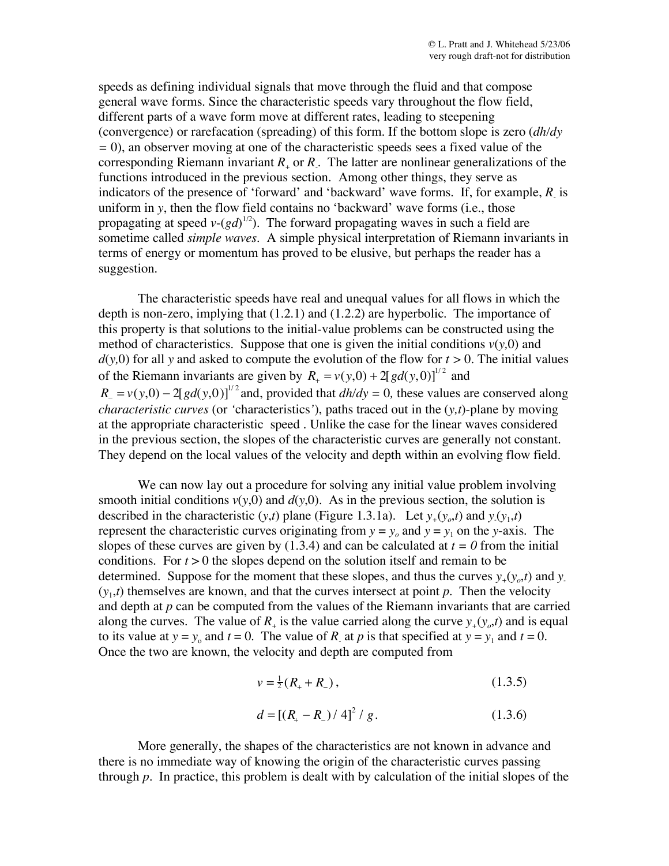speeds as defining individual signals that move through the fluid and that compose general wave forms. Since the characteristic speeds vary throughout the flow field, different parts of a wave form move at different rates, leading to steepening (convergence) or rarefacation (spreading) of this form. If the bottom slope is zero (*dh/dy =* 0), an observer moving at one of the characteristic speeds sees a fixed value of the corresponding Riemann invariant *R*<sup>+</sup> or *R*- . The latter are nonlinear generalizations of the functions introduced in the previous section. Among other things, they serve as indicators of the presence of 'forward' and 'backward' wave forms. If, for example, *R*- is uniform in *y*, then the flow field contains no 'backward' wave forms (i.e., those propagating at speed  $v-(gd)^{1/2}$ ). The forward propagating waves in such a field are sometime called *simple waves.* A simple physical interpretation of Riemann invariants in terms of energy or momentum has proved to be elusive, but perhaps the reader has a suggestion.

The characteristic speeds have real and unequal values for all flows in which the depth is non-zero, implying that (1.2.1) and (1.2.2) are hyperbolic. The importance of this property is that solutions to the initial-value problems can be constructed using the method of characteristics. Suppose that one is given the initial conditions  $v(y,0)$  and  $d(y,0)$  for all y and asked to compute the evolution of the flow for  $t > 0$ . The initial values of the Riemann invariants are given by  $R_+ = v(y,0) + 2[gd(y,0)]^{1/2}$  and  $R_{\perp} = v(y,0) - 2[gd(y,0)]^{1/2}$  and, provided that  $dh/dy = 0$ , these values are conserved along *characteristic curves* (or *'*characteristics*'*), paths traced out in the (*y,t*)-plane by moving at the appropriate characteristic speed *.* Unlike the case for the linear waves considered in the previous section, the slopes of the characteristic curves are generally not constant. They depend on the local values of the velocity and depth within an evolving flow field.

We can now lay out a procedure for solving any initial value problem involving smooth initial conditions  $v(y,0)$  and  $d(y,0)$ . As in the previous section, the solution is described in the characteristic  $(y,t)$  plane (Figure 1.3.1a). Let  $y_+(y_o,t)$  and  $y_-(y_1,t)$ represent the characteristic curves originating from  $y = y_0$  and  $y = y_1$  on the *y*-axis. The slopes of these curves are given by (1.3.4) and can be calculated at  $t = 0$  from the initial conditions. For *t* > 0 the slopes depend on the solution itself and remain to be determined. Suppose for the moment that these slopes, and thus the curves  $y_{\perp}(y_o,t)$  and  $y_{\perp}$  $(y_1,t)$  themselves are known, and that the curves intersect at point *p*. Then the velocity and depth at *p* can be computed from the values of the Riemann invariants that are carried along the curves. The value of  $R_+$  is the value carried along the curve  $y_+(y_0,t)$  and is equal to its value at  $y = y_0$  and  $t = 0$ . The value of *R* at *p* is that specified at  $y = y_1$  and  $t = 0$ . Once the two are known, the velocity and depth are computed from

$$
v = \frac{1}{2}(R_{+} + R_{-}), \qquad (1.3.5)
$$

$$
d = [(R_{+} - R_{-}) / 4]^{2} / g. \qquad (1.3.6)
$$

More generally, the shapes of the characteristics are not known in advance and there is no immediate way of knowing the origin of the characteristic curves passing through *p*. In practice, this problem is dealt with by calculation of the initial slopes of the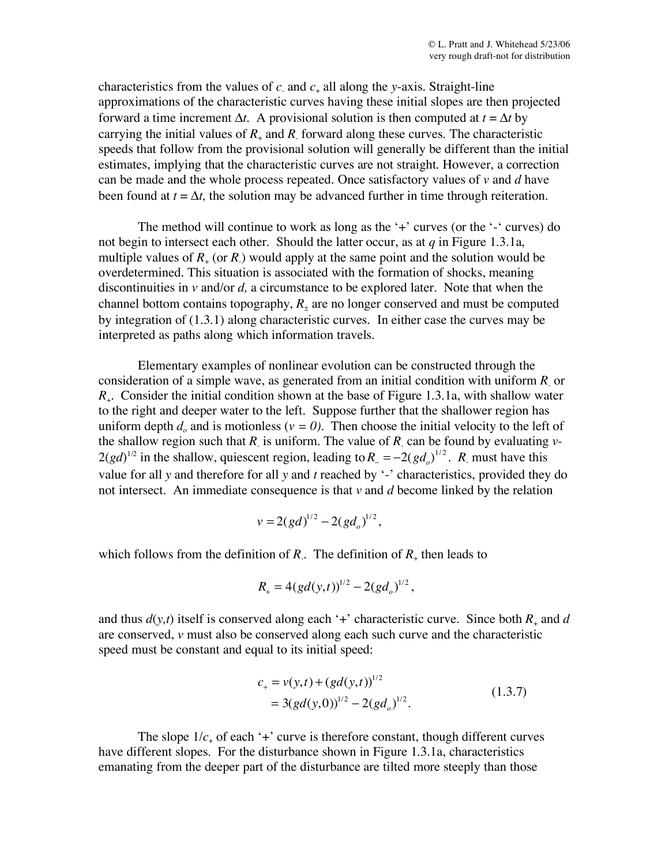characteristics from the values of  $c_1$  and  $c_+$  all along the *y*-axis. Straight-line approximations of the characteristic curves having these initial slopes are then projected forward a time increment  $\Delta t$ . A provisional solution is then computed at  $t = \Delta t$  by carrying the initial values of  $R_+$  and  $R_+$  forward along these curves. The characteristic speeds that follow from the provisional solution will generally be different than the initial estimates, implying that the characteristic curves are not straight. However, a correction can be made and the whole process repeated. Once satisfactory values of *v* and *d* have been found at  $t = \Delta t$ , the solution may be advanced further in time through reiteration.

The method will continue to work as long as the  $+$  curves (or the  $-$  curves) do not begin to intersect each other. Should the latter occur, as at *q* in Figure 1.3.1a, multiple values of  $R_{+}$  (or  $R_{-}$ ) would apply at the same point and the solution would be overdetermined. This situation is associated with the formation of shocks, meaning discontinuities in *v* and/or *d,* a circumstance to be explored later. Note that when the channel bottom contains topography,  $R_{\pm}$  are no longer conserved and must be computed by integration of (1.3.1) along characteristic curves. In either case the curves may be interpreted as paths along which information travels.

Elementary examples of nonlinear evolution can be constructed through the consideration of a simple wave, as generated from an initial condition with uniform *R*- or *R*+. Consider the initial condition shown at the base of Figure 1.3.1a, with shallow water to the right and deeper water to the left. Suppose further that the shallower region has uniform depth  $d<sub>e</sub>$  and is motionless ( $v = 0$ ). Then choose the initial velocity to the left of the shallow region such that  $R_1$  is uniform. The value of  $R_2$  can be found by evaluating  $\nu$ - $2(gd)^{1/2}$  in the shallow, quiescent region, leading to  $R = -2(gd_o)^{1/2}$ . *R*<sub>-</sub> must have this value for all *y* and therefore for all *y* and *t* reached by '-' characteristics, provided they do not intersect. An immediate consequence is that *v* and *d* become linked by the relation

$$
v = 2(gd)^{1/2} - 2(gd_o)^{1/2},
$$

which follows from the definition of  $R_$ . The definition of  $R_+$  then leads to

$$
R_{+} = 4(gd(y,t))^{1/2} - 2(gd_{o})^{1/2},
$$

and thus  $d(y,t)$  itself is conserved along each '+' characteristic curve. Since both  $R_+$  and  $d$ are conserved, *v* must also be conserved along each such curve and the characteristic speed must be constant and equal to its initial speed:

$$
c_{+} = v(y,t) + (gd(y,t))^{1/2}
$$
  
= 3(gd(y,0))^{1/2} - 2(gd<sub>o</sub>)^{1/2}. (1.3.7)

The slope  $1/c_+$  of each '+' curve is therefore constant, though different curves have different slopes. For the disturbance shown in Figure 1.3.1a, characteristics emanating from the deeper part of the disturbance are tilted more steeply than those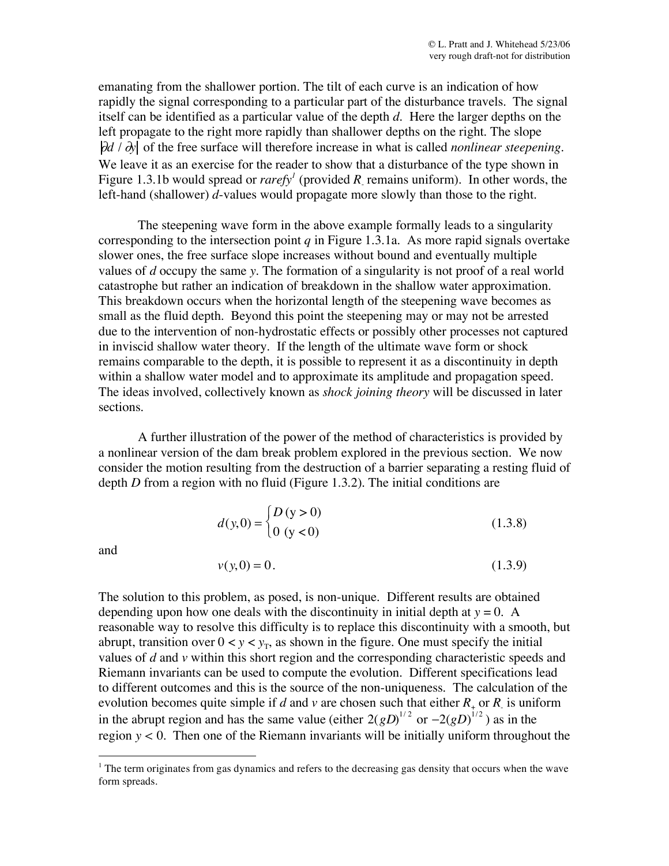emanating from the shallower portion. The tilt of each curve is an indication of how rapidly the signal corresponding to a particular part of the disturbance travels. The signal itself can be identified as a particular value of the depth *d*. Here the larger depths on the left propagate to the right more rapidly than shallower depths on the right. The slope  $\partial d / \partial y$  of the free surface will therefore increase in what is called *nonlinear steepening*. We leave it as an exercise for the reader to show that a disturbance of the type shown in Figure 1.3.1b would spread or *rarefy<sup>1</sup>* (provided R remains uniform). In other words, the left-hand (shallower) *d*-values would propagate more slowly than those to the right.

The steepening wave form in the above example formally leads to a singularity corresponding to the intersection point *q* in Figure 1.3.1a. As more rapid signals overtake slower ones, the free surface slope increases without bound and eventually multiple values of *d* occupy the same *y*. The formation of a singularity is not proof of a real world catastrophe but rather an indication of breakdown in the shallow water approximation. This breakdown occurs when the horizontal length of the steepening wave becomes as small as the fluid depth. Beyond this point the steepening may or may not be arrested due to the intervention of non-hydrostatic effects or possibly other processes not captured in inviscid shallow water theory. If the length of the ultimate wave form or shock remains comparable to the depth, it is possible to represent it as a discontinuity in depth within a shallow water model and to approximate its amplitude and propagation speed. The ideas involved, collectively known as *shock joining theory* will be discussed in later sections.

A further illustration of the power of the method of characteristics is provided by a nonlinear version of the dam break problem explored in the previous section. We now consider the motion resulting from the destruction of a barrier separating a resting fluid of depth *D* from a region with no fluid (Figure 1.3.2). The initial conditions are

$$
d(y,0) = \begin{cases} D(y > 0) \\ 0 (y < 0) \end{cases}
$$
 (1.3.8)

and

$$
v(y,0) = 0.
$$
 (1.3.9)

The solution to this problem, as posed, is non-unique. Different results are obtained depending upon how one deals with the discontinuity in initial depth at  $y = 0$ . A reasonable way to resolve this difficulty is to replace this discontinuity with a smooth, but abrupt, transition over  $0 < y < y_T$ , as shown in the figure. One must specify the initial values of *d* and *v* within this short region and the corresponding characteristic speeds and Riemann invariants can be used to compute the evolution. Different specifications lead to different outcomes and this is the source of the non-uniqueness. The calculation of the evolution becomes quite simple if *d* and *v* are chosen such that either  $R_{+}$  or  $R_{\perp}$  is uniform in the abrupt region and has the same value (either  $2(gD)^{1/2}$  or  $-2(gD)^{1/2}$ ) as in the region  $y < 0$ . Then one of the Riemann invariants will be initially uniform throughout the

<sup>&</sup>lt;sup>1</sup> The term originates from gas dynamics and refers to the decreasing gas density that occurs when the wave form spreads.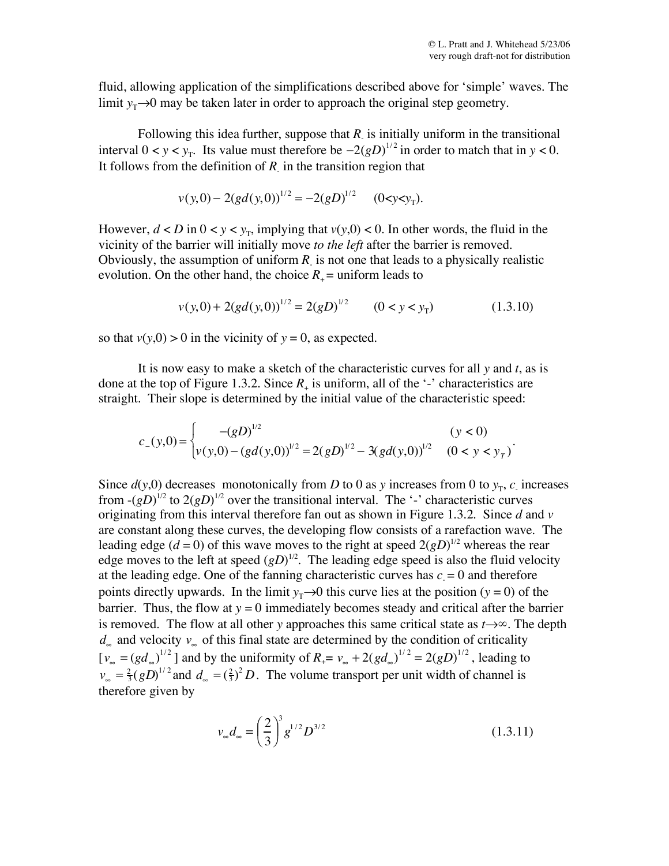.

fluid, allowing application of the simplifications described above for 'simple' waves. The limit  $y_T \rightarrow 0$  may be taken later in order to approach the original step geometry.

Following this idea further, suppose that  $R$  is initially uniform in the transitional interval  $0 < y < y_T$ . Its value must therefore be  $-2(gD)^{1/2}$  in order to match that in  $y < 0$ . It follows from the definition of  $R$  in the transition region that

$$
v(y,0) - 2(gd(y,0))^{1/2} = -2(gD)^{1/2}
$$
 (0 < y < y<sub>T</sub>).

However,  $d < D$  in  $0 < y < y_T$ , implying that  $v(y,0) < 0$ . In other words, the fluid in the vicinity of the barrier will initially move *to the left* after the barrier is removed. Obviously, the assumption of uniform  $R$  is not one that leads to a physically realistic evolution. On the other hand, the choice  $R_+$  = uniform leads to

$$
v(y,0) + 2(gd(y,0))^{1/2} = 2(gD)^{1/2} \qquad (0 < y < y_T)
$$
 (1.3.10)

so that  $v(y,0) > 0$  in the vicinity of  $y = 0$ , as expected.

It is now easy to make a sketch of the characteristic curves for all *y* and *t*, as is done at the top of Figure 1.3.2. Since  $R_+$  is uniform, all of the '-' characteristics are straight. Their slope is determined by the initial value of the characteristic speed:

$$
c_{-}(y,0) = \begin{cases} -(gD)^{1/2} & (y < 0) \\ v(y,0) - (gd(y,0))^{1/2} = 2(gD)^{1/2} - 3(gd(y,0))^{1/2} & (0 < y < yT) \end{cases}
$$

Since  $d(y,0)$  decreases monotonically from *D* to 0 as *y* increases from 0 to  $y<sub>T</sub>$ , *c*<sub>-</sub> increases from  $-(gD)^{1/2}$  to  $2(gD)^{1/2}$  over the transitional interval. The '-' characteristic curves originating from this interval therefore fan out as shown in Figure 1.3.2. Since *d* and *v* are constant along these curves, the developing flow consists of a rarefaction wave. The leading edge  $(d = 0)$  of this wave moves to the right at speed  $2(gD)^{1/2}$  whereas the rear edge moves to the left at speed  $(gD)^{1/2}$ . The leading edge speed is also the fluid velocity at the leading edge. One of the fanning characteristic curves has  $c = 0$  and therefore points directly upwards. In the limit  $y_T \rightarrow 0$  this curve lies at the position ( $y = 0$ ) of the barrier. Thus, the flow at  $y = 0$  immediately becomes steady and critical after the barrier is removed. The flow at all other *y* approaches this same critical state as *t*→∞. The depth  $d_{\infty}$  and velocity  $v_{\infty}$  of this final state are determined by the condition of criticality  $[v_{\infty} = (gd_{\infty})^{1/2}]$  and by the uniformity of  $R_+ = v_{\infty} + 2(gd_{\infty})^{1/2} = 2(gD)^{1/2}$ , leading to  $v_{\infty} = \frac{2}{3} (gD)^{1/2}$  and  $d_{\infty} = (\frac{2}{3})^2 D$ . The volume transport per unit width of channel is therefore given by

$$
v_{\infty}d_{\infty} = \left(\frac{2}{3}\right)^3 g^{1/2} D^{3/2}
$$
 (1.3.11)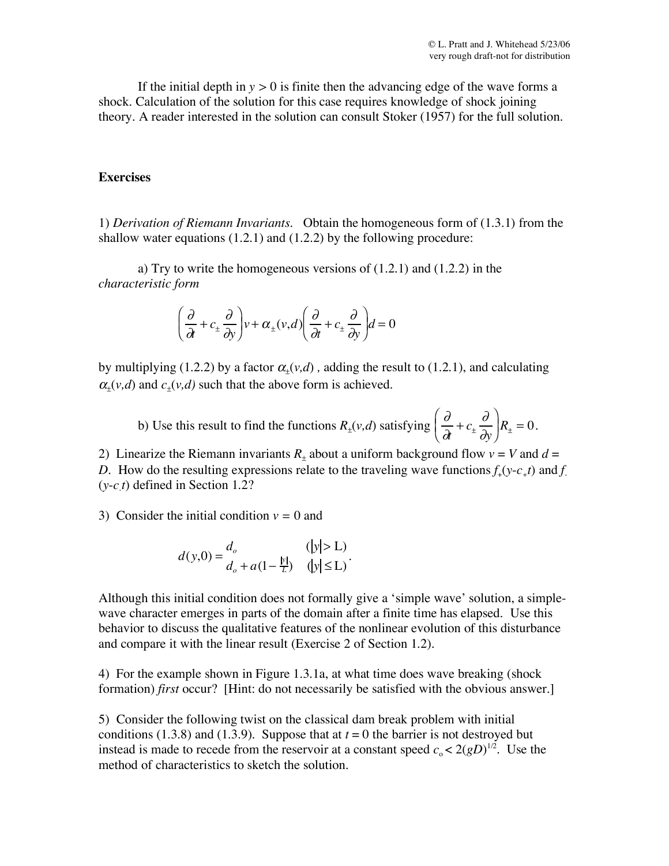If the initial depth in  $y > 0$  is finite then the advancing edge of the wave forms a shock. Calculation of the solution for this case requires knowledge of shock joining theory. A reader interested in the solution can consult Stoker (1957) for the full solution.

## **Exercises**

1) *Derivation of Riemann Invariants.* Obtain the homogeneous form of (1.3.1) from the shallow water equations  $(1.2.1)$  and  $(1.2.2)$  by the following procedure:

a) Try to write the homogeneous versions of (1.2.1) and (1.2.2) in the *characteristic form*

$$
\left(\frac{\partial}{\partial t} + c_{\pm} \frac{\partial}{\partial y}\right) v + \alpha_{\pm}(v, d) \left(\frac{\partial}{\partial t} + c_{\pm} \frac{\partial}{\partial y}\right) d = 0
$$

by multiplying (1.2.2) by a factor  $\alpha_{+}(v,d)$ , adding the result to (1.2.1), and calculating  $\alpha_+(v,d)$  and  $c_+(v,d)$  such that the above form is achieved.

b) Use this result to find the functions  $R_{\pm}(v,d)$  satisfying  $\partial$  $\frac{\partial}{\partial t} + c_{\pm} \frac{\partial}{\partial y}$  $\partial y$  $\sqrt{ }$  $\overline{\phantom{a}}$  $\left(\frac{\partial}{\partial t} + c_{\pm} \frac{\partial}{\partial t}\right)^2$  $R_{\pm} = 0.$ 

2) Linearize the Riemann invariants  $R_{\pm}$  about a uniform background flow  $v = V$  and  $d =$ *D.* How do the resulting expressions relate to the traveling wave functions  $f_+(y-c_+t)$  and  $f_-(y-c_+t)$ (*y*-*c-t*) defined in Section 1.2?

3) Consider the initial condition  $v = 0$  and

$$
d(y,0) = \frac{d_o}{d_o + a(1 - \frac{|y|}{L})} \quad (|y| > L).
$$

Although this initial condition does not formally give a 'simple wave' solution, a simplewave character emerges in parts of the domain after a finite time has elapsed. Use this behavior to discuss the qualitative features of the nonlinear evolution of this disturbance and compare it with the linear result (Exercise 2 of Section 1.2).

4) For the example shown in Figure 1.3.1a, at what time does wave breaking (shock formation) *first* occur? [Hint: do not necessarily be satisfied with the obvious answer.]

5) Consider the following twist on the classical dam break problem with initial conditions (1.3.8) and (1.3.9). Suppose that at  $t = 0$  the barrier is not destroyed but instead is made to recede from the reservoir at a constant speed  $c_0 < 2(gD)^{1/2}$ . Use the method of characteristics to sketch the solution.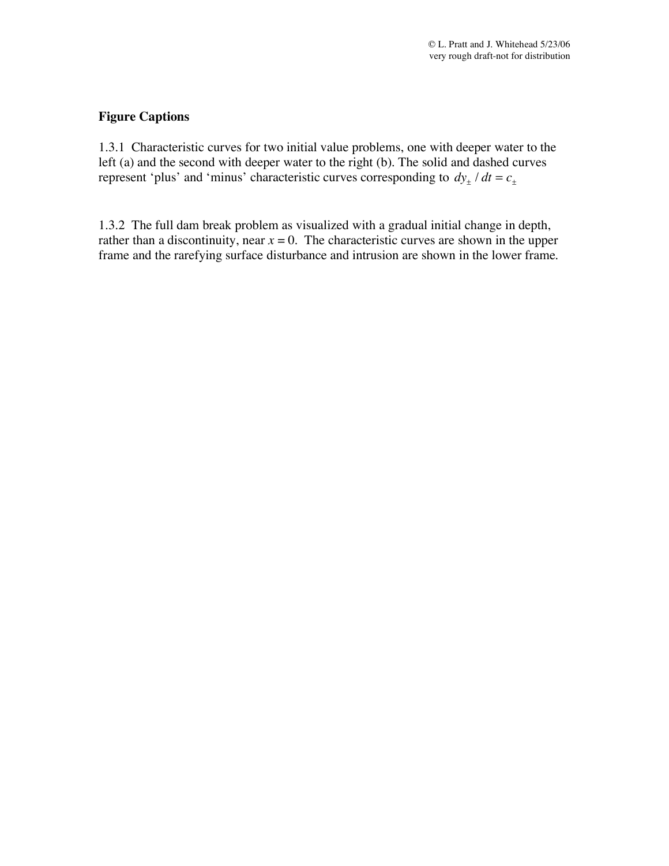## **Figure Captions**

1.3.1 Characteristic curves for two initial value problems, one with deeper water to the left (a) and the second with deeper water to the right (b). The solid and dashed curves represent 'plus' and 'minus' characteristic curves corresponding to  $dy_{\pm}$  /  $dt = c_{\pm}$ 

1.3.2 The full dam break problem as visualized with a gradual initial change in depth, rather than a discontinuity, near  $x = 0$ . The characteristic curves are shown in the upper frame and the rarefying surface disturbance and intrusion are shown in the lower frame.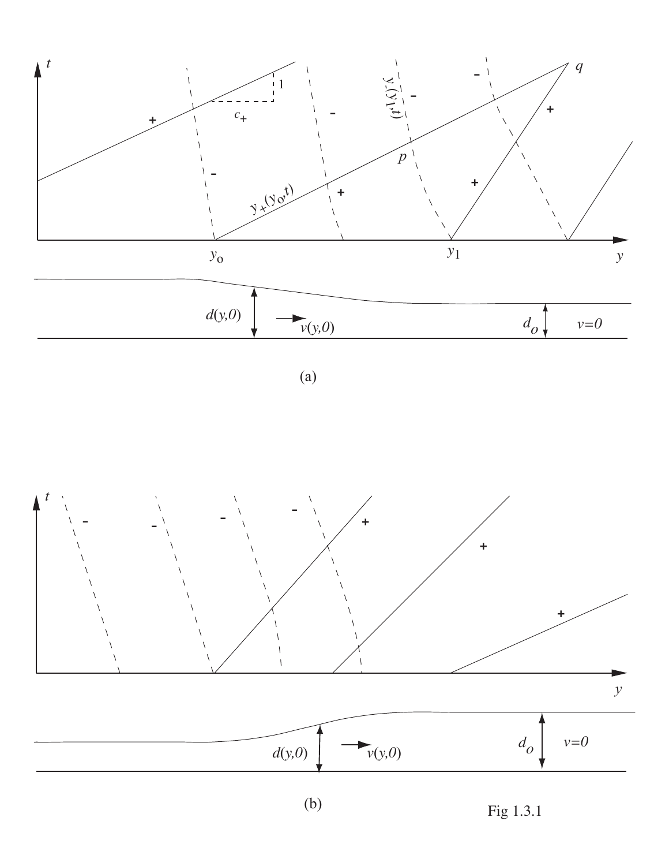

(a)



Fig 1.3.1